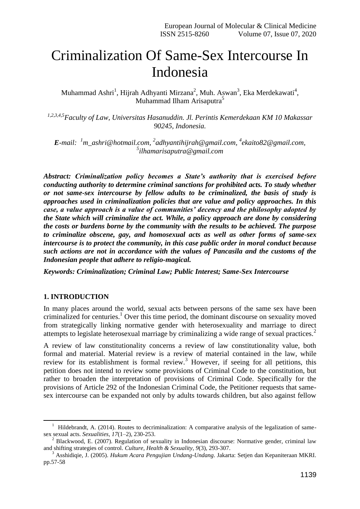# Criminalization Of Same-Sex Intercourse In Indonesia

Muhammad Ashri<sup>1</sup>, Hijrah Adhyanti Mirzana<sup>2</sup>, Muh. Aswan<sup>3</sup>, Eka Merdekawati<sup>4</sup>, Muhammad Ilham Arisaputra<sup>5</sup>

*1,2,3,4,5Faculty of Law, Universitas Hasanuddin. Jl. Perintis Kemerdekaan KM 10 Makassar 90245, Indonesia.*

*E-mail: <sup>1</sup>[m\\_ashri@hotmail.com,](mailto:m_ashri@hotmail.com) 2 [adhyantihijrah@gmail.com,](mailto:adhyantihijrah@gmail.com) 4 [ekaito82@gmail.com,](mailto:ekaito82@gmail.com) 5 [ilhamarisaputra@gmail.com](mailto:ilhamarisaputra@gmail.com)*

*Abstract: Criminalization policy becomes a State's authority that is exercised before conducting authority to determine criminal sanctions for prohibited acts. To study whether or not same-sex intercourse by fellow adults to be criminalized, the basis of study is approaches used in criminalization policies that are value and policy approaches. In this case, a value approach is a value of communities' decency and the philosophy adopted by the State which will criminalize the act. While, a policy approach are done by considering the costs or burdens borne by the community with the results to be achieved. The purpose to criminalize obscene, gay, and homosexual acts as well as other forms of same-sex intercourse is to protect the community, in this case public order in moral conduct because such actions are not in accordance with the values of Pancasila and the customs of the Indonesian people that adhere to religio-magical.*

*Keywords: Criminalization; Criminal Law; Public Interest; Same-Sex Intercourse*

## **1. INTRODUCTION**

1

In many places around the world, sexual acts between persons of the same sex have been criminalized for centuries.<sup>1</sup> Over this time period, the dominant discourse on sexuality moved from strategically linking normative gender with heterosexuality and marriage to direct attempts to legislate heterosexual marriage by criminalizing a wide range of sexual practices.<sup>2</sup>

A review of law constitutionality concerns a review of law constitutionality value, both formal and material. Material review is a review of material contained in the law, while review for its establishment is formal review.<sup>3</sup> However, if seeing for all petitions, this petition does not intend to review some provisions of Criminal Code to the constitution, but rather to broaden the interpretation of provisions of Criminal Code. Specifically for the provisions of Article 292 of the Indonesian Criminal Code, the Petitioner requests that samesex intercourse can be expanded not only by adults towards children, but also against fellow

<sup>&</sup>lt;sup>1</sup> Hildebrandt, A. (2014). Routes to decriminalization: A comparative analysis of the legalization of samesex sexual acts. *Sexualities*, *17*(1–2), 230-253.

<sup>&</sup>lt;sup>2</sup> Blackwood, E. (2007). Regulation of sexuality in Indonesian discourse: Normative gender, criminal law and shifting strategies of control. *Culture, Health & Sexuality*, *9*(3), 293-307.

<sup>3</sup> Asshidiqie, J. (2005). *Hukum Acara Pengujian Undang-Undang*. Jakarta: Setjen dan Kepaniteraan MKRI. pp.57-58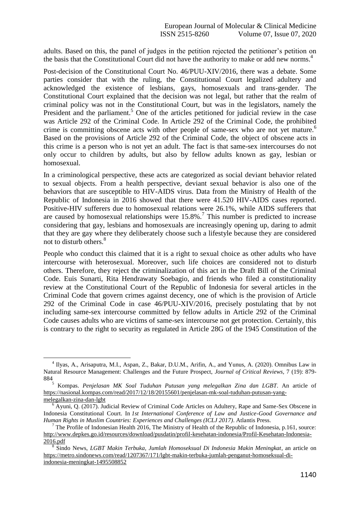adults. Based on this, the panel of judges in the petition rejected the petitioner's petition on the basis that the Constitutional Court did not have the authority to make or add new norms.<sup>4</sup>

Post-decision of the Constitutional Court No. 46/PUU-XIV/2016, there was a debate. Some parties consider that with the ruling, the Constitutional Court legalized adultery and acknowledged the existence of lesbians, gays, homosexuals and trans-gender. The Constitutional Court explained that the decision was not legal, but rather that the realm of criminal policy was not in the Constitutional Court, but was in the legislators, namely the President and the parliament.<sup>5</sup> One of the articles petitioned for judicial review in the case was Article 292 of the Criminal Code. In Article 292 of the Criminal Code, the prohibited crime is committing obscene acts with other people of same-sex who are not yet mature.<sup>6</sup> Based on the provisions of Article 292 of the Criminal Code, the object of obscene acts in this crime is a person who is not yet an adult. The fact is that same-sex intercourses do not only occur to children by adults, but also by fellow adults known as gay, lesbian or homosexual.

In a criminological perspective, these acts are categorized as social deviant behavior related to sexual objects. From a health perspective, deviant sexual behavior is also one of the behaviors that are susceptible to HIV-AIDS virus. Data from the Ministry of Health of the Republic of Indonesia in 2016 showed that there were 41.520 HIV-AIDS cases reported. Positive-HIV sufferers due to homosexual relations were 26.1%, while AIDS sufferers that are caused by homosexual relationships were  $15.8\%$ .<sup>7</sup> This number is predicted to increase considering that gay, lesbians and homosexuals are increasingly opening up, daring to admit that they are gay where they deliberately choose such a lifestyle because they are considered not to disturb others.<sup>8</sup>

People who conduct this claimed that it is a right to sexual choice as other adults who have intercourse with heterosexual. Moreover, such life choices are considered not to disturb others. Therefore, they reject the criminalization of this act in the Draft Bill of the Criminal Code. Euis Sunarti, Rita Hendrawaty Soebagio, and friends who filed a constitutionality review at the Constitutional Court of the Republic of Indonesia for several articles in the Criminal Code that govern crimes against decency, one of which is the provision of Article 292 of the Criminal Code in case 46/PUU-XIV/2016, precisely postulating that by not including same-sex intercourse committed by fellow adults in Article 292 of the Criminal Code causes adults who are victims of same-sex intercourse not get protection. Certainly, this is contrary to the right to security as regulated in Article 28G of the 1945 Constitution of the

1

<sup>&</sup>lt;sup>4</sup> Ilyas, A., Arisaputra, M.I., Aspan, Z., Bakar, D.U.M., Arifin, A., and Yunus, A. (2020). Omnibus Law in Natural Resource Management: Challenges and the Future Prospect, *Journal of Critical Reviews,* 7 (19): 879-  $884$ <sub>5</sub>

<sup>5</sup> Kompas. *Penjelasan MK Soal Tuduhan Putusan yang melegalkan Zina dan LGBT*. An article of [https://nasional.kompas.com/read/2017/12/18/20155601/penjelasan-mk-soal-tuduhan-putusan-yang](https://nasional.kompas.com/read/2017/12/18/20155601/penjelasan-mk-soal-tuduhan-putusan-yang-melegalkan-zina-dan-lgbt)[melegalkan-zina-dan-lgbt](https://nasional.kompas.com/read/2017/12/18/20155601/penjelasan-mk-soal-tuduhan-putusan-yang-melegalkan-zina-dan-lgbt)

 $6$  Ayuni, Q. (2017). Judicial Review of Criminal Code Articles on Adultery, Rape and Same-Sex Obscene in Indonesia Constitutional Court. In *1st International Conference of Law and Justice-Good Governance and Human Rights in Muslim Countries: Experiences and Challenges (ICLJ 2017)*. Atlantis Press.

<sup>&</sup>lt;sup>7</sup> The Profile of Indonesian Health 2016, The Ministry of Health of the Republic of Indonesia, p.161, source: [http://www.depkes.go.id/resources/download/pusdatin/profil-kesehatan-indonesia/Profil-Kesehatan-Indonesia-](http://www.depkes.go.id/resources/download/pusdatin/profil-kesehatan-indonesia/Profil-Kesehatan-Indonesia-2016.pdf)[2016.pdf](http://www.depkes.go.id/resources/download/pusdatin/profil-kesehatan-indonesia/Profil-Kesehatan-Indonesia-2016.pdf)

<sup>8</sup> Sindo News, *LGBT Makin Terbuka, Jumlah Homoseksual Di Indonesia Makin Meningkat*, an article on [https://metro.sindonews.com/read/1207367/171/lgbt-makin-terbuka-jumlah-penganut-homoseksual-di](https://metro.sindonews.com/read/1207367/171/lgbt-makin-terbuka-jumlah-penganut-homoseksual-di-indonesia-meningkat-1495508852)[indonesia-meningkat-1495508852](https://metro.sindonews.com/read/1207367/171/lgbt-makin-terbuka-jumlah-penganut-homoseksual-di-indonesia-meningkat-1495508852)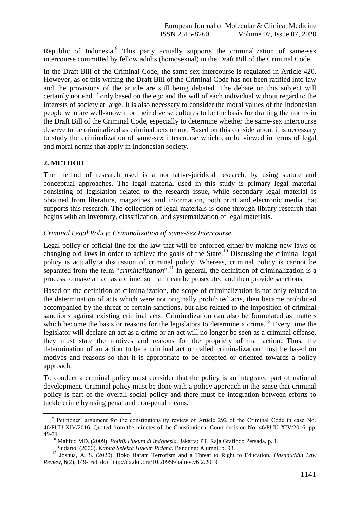Republic of Indonesia.<sup>9</sup> This party actually supports the criminalization of same-sex intercourse committed by fellow adults (homosexual) in the Draft Bill of the Criminal Code.

In the Draft Bill of the Criminal Code, the same-sex intercourse is regulated in Article 420. However, as of this writing the Draft Bill of the Criminal Code has not been ratified into law and the provisions of the article are still being debated. The debate on this subject will certainly not end if only based on the ego and the will of each individual without regard to the interests of society at large. It is also necessary to consider the moral values of the Indonesian people who are well-known for their diverse cultures to be the basis for drafting the norms in the Draft Bill of the Criminal Code, especially to determine whether the same-sex intercourse deserve to be criminalized as criminal acts or not. Based on this consideration, it is necessary to study the criminalization of same-sex intercourse which can be viewed in terms of legal and moral norms that apply in Indonesian society.

### **2. METHOD**

1

The method of research used is a normative-juridical research, by using statute and conceptual approaches. The legal material used in this study is primary legal material consisting of legislation related to the research issue, while secondary legal material is obtained from literature, magazines, and information, both print and electronic media that supports this research. The collection of legal materials is done through library research that begins with an inventory, classification, and systematization of legal materials.

#### *Criminal Legal Policy: Criminalization of Same-Sex Intercourse*

Legal policy or official line for the law that will be enforced either by making new laws or changing old laws in order to achieve the goals of the State.<sup>10</sup> Discussing the criminal legal policy is actually a discussion of criminal policy. Whereas, criminal policy is cannot be separated from the term "*criminalization*".<sup>11</sup> In general, the definition of criminalization is a process to make an act as a crime, so that it can be prosecuted and then provide sanctions.

Based on the definition of criminalization, the scope of criminalization is not only related to the determination of acts which were not originally prohibited acts, then became prohibited accompanied by the threat of certain sanctions, but also related to the imposition of criminal sanctions against existing criminal acts. Criminalization can also be formulated as matters which become the basis or reasons for the legislators to determine a crime.<sup>12</sup> Every time the legislator will declare an act as a crime or an act will no longer be seen as a criminal offense, they must state the motives and reasons for the propriety of that action. Thus, the determination of an action to be a criminal act or called criminalization must be based on motives and reasons so that it is appropriate to be accepted or oriented towards a policy approach.

To conduct a criminal policy must consider that the policy is an integrated part of national development. Criminal policy must be done with a policy approach in the sense that criminal policy is part of the overall social policy and there must be integration between efforts to tackle crime by using penal and non-penal means.

<sup>&</sup>lt;sup>9</sup> Petitioner' argument for the constitutionality review of Article 292 of the Criminal Code in case No. 46/PUU-XIV/2016. Quoted from the minutes of the Constitutional Court decision No. 46/PUU-XIV/2016, pp. 49-71

<sup>10</sup> Mahfud MD. (2009). *Politik Hukum di Indonesia.* Jakarta: PT. Raja Grafindo Persada, p. 1.

<sup>11</sup> Sudarto. (2006). *Kapita Selekta Hukum Pidana*. Bandung: Alumni. p. 93.

<sup>12</sup> Joshua, A. S. (2020). Boko Haram Terrorism and a Threat to Right to Education. *Hasanuddin Law Review*, 6(2), 149-164. doi:<http://dx.doi.org/10.20956/halrev.v6i2.2019>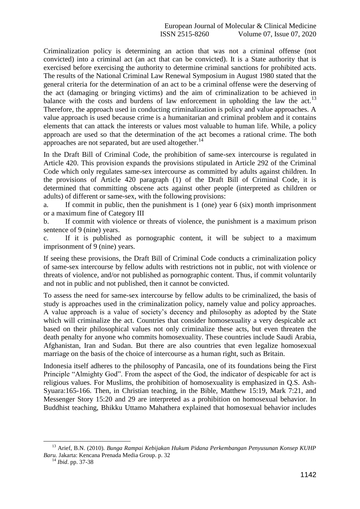Criminalization policy is determining an action that was not a criminal offense (not convicted) into a criminal act (an act that can be convicted). It is a State authority that is exercised before exercising the authority to determine criminal sanctions for prohibited acts. The results of the National Criminal Law Renewal Symposium in August 1980 stated that the general criteria for the determination of an act to be a criminal offense were the deserving of the act (damaging or bringing victims) and the aim of criminalization to be achieved in balance with the costs and burdens of law enforcement in upholding the law the act.<sup>13</sup> Therefore, the approach used in conducting criminalization is policy and value approaches. A value approach is used because crime is a humanitarian and criminal problem and it contains elements that can attack the interests or values most valuable to human life. While, a policy approach are used so that the determination of the act becomes a rational crime. The both approaches are not separated, but are used altogether.<sup>14</sup>

In the Draft Bill of Criminal Code, the prohibition of same-sex intercourse is regulated in Article 420. This provision expands the provisions stipulated in Article 292 of the Criminal Code which only regulates same-sex intercourse as committed by adults against children. In the provisions of Article 420 paragraph (1) of the Draft Bill of Criminal Code, it is determined that committing obscene acts against other people (interpreted as children or adults) of different or same-sex, with the following provisions:

a. If commit in public, then the punishment is 1 (one) year 6 (six) month imprisonment or a maximum fine of Category III

b. If commit with violence or threats of violence, the punishment is a maximum prison sentence of 9 (nine) years.

c. If it is published as pornographic content, it will be subject to a maximum imprisonment of 9 (nine) years.

If seeing these provisions, the Draft Bill of Criminal Code conducts a criminalization policy of same-sex intercourse by fellow adults with restrictions not in public, not with violence or threats of violence, and/or not published as pornographic content. Thus, if commit voluntarily and not in public and not published, then it cannot be convicted.

To assess the need for same-sex intercourse by fellow adults to be criminalized, the basis of study is approaches used in the criminalization policy, namely value and policy approaches. A value approach is a value of society's decency and philosophy as adopted by the State which will criminalize the act. Countries that consider homosexuality a very despicable act based on their philosophical values not only criminalize these acts, but even threaten the death penalty for anyone who commits homosexuality. These countries include Saudi Arabia, Afghanistan, Iran and Sudan. But there are also countries that even legalize homosexual marriage on the basis of the choice of intercourse as a human right, such as Britain.

Indonesia itself adheres to the philosophy of Pancasila, one of its foundations being the First Principle "Almighty God". From the aspect of the God, the indicator of despicable for act is religious values. For Muslims, the prohibition of homosexuality is emphasized in Q.S. Ash-Syuara:165-166. Then, in Christian teaching, in the Bible, Matthew 15:19, Mark 7:21, and Messenger Story 15:20 and 29 are interpreted as a prohibition on homosexual behavior. In Buddhist teaching, Bhikku Uttamo Mahathera explained that homosexual behavior includes

 $\overline{a}$ 

<sup>13</sup> Arief, B.N. (2010). *Bunga Rampai Kebijakan Hukum Pidana Perkembangan Penyusunan Konsep KUHP Baru.* Jakarta: Kencana Prenada Media Group. p. 32

<sup>14</sup> *Ibid*. pp. 37-38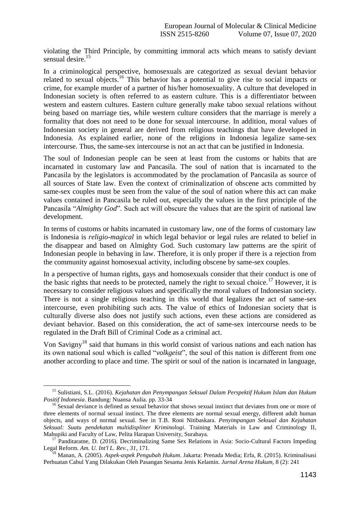violating the Third Principle, by committing immoral acts which means to satisfy deviant sensual desire.<sup>15</sup>

In a criminological perspective, homosexuals are categorized as sexual deviant behavior related to sexual objects.<sup>16</sup> This behavior has a potential to give rise to social impacts or crime, for example murder of a partner of his/her homosexuality. A culture that developed in Indonesian society is often referred to as eastern culture. This is a differentiator between western and eastern cultures. Eastern culture generally make taboo sexual relations without being based on marriage ties, while western culture considers that the marriage is merely a formality that does not need to be done for sexual intercourse. In addition, moral values of Indonesian society in general are derived from religious teachings that have developed in Indonesia. As explained earlier, none of the religions in Indonesia legalize same-sex intercourse. Thus, the same-sex intercourse is not an act that can be justified in Indonesia.

The soul of Indonesian people can be seen at least from the customs or habits that are incarnated in customary law and Pancasila. The soul of nation that is incarnated to the Pancasila by the legislators is accommodated by the proclamation of Pancasila as source of all sources of State law. Even the context of criminalization of obscene acts committed by same-sex couples must be seen from the value of the soul of nation where this act can make values contained in Pancasila be ruled out, especially the values in the first principle of the Pancasila "*Almighty God*". Such act will obscure the values that are the spirit of national law development.

In terms of customs or habits incarnated in customary law, one of the forms of customary law is Indonesia is *religio-magical* in which legal behavior or legal rules are related to belief in the disappear and based on Almighty God. Such customary law patterns are the spirit of Indonesian people in behaving in law. Therefore, it is only proper if there is a rejection from the community against homosexual activity, including obscene by same-sex couples.

In a perspective of human rights, gays and homosexuals consider that their conduct is one of the basic rights that needs to be protected, namely the right to sexual choice.<sup>17</sup> However, it is necessary to consider religious values and specifically the moral values of Indonesian society. There is not a single religious teaching in this world that legalizes the act of same-sex intercourse, even prohibiting such acts. The value of ethics of Indonesian society that is culturally diverse also does not justify such actions, even these actions are considered as deviant behavior. Based on this consideration, the act of same-sex intercourse needs to be regulated in the Draft Bill of Criminal Code as a criminal act.

Von Savigny<sup>18</sup> said that humans in this world consist of various nations and each nation has its own national soul which is called "*volkgeist*", the soul of this nation is different from one another according to place and time. The spirit or soul of the nation is incarnated in language,

1

<sup>15</sup> Sulistiani, S.L. (2016). *Kejahatan dan Penympangan Seksual Dalam Perspektif Hukum Islam dan Hukum Positif Indonesia*. Bandung: Nuansa Aulia. pp. 33-34

<sup>&</sup>lt;sup>16</sup> Sexual deviance is defined as sexual behavior that shows sexual instinct that deviates from one or more of three elements of normal sexual instinct. The three elements are normal sexual energy, different adult human objects, and ways of normal sexual. See in T.B. Roni Nitibaskara. *Penyimpangan Seksual dan Kejahatan Seksual: Suatu pendekatan multidispliner Kriminologi*. Training Materials in Law and Criminology II, Mahupiki and Faculty of Law, Pelita Harapan University, Surabaya.

<sup>&</sup>lt;sup>17</sup> Panditaratne, D. (2016). Decriminalizing Same Sex Relations in Asia: Socio-Cultural Factors Impeding Legal Reform. *Am. U. Int'l L. Rev.*, *31*, 171.

<sup>18</sup> Manan, A. (2005). *Aspek-aspek Pengubah Hukum*. Jakarta: Prenada Media; Erfa, R. (2015). Kriminalisasi Perbuatan Cabul Yang Dilakukan Oleh Pasangan Sesama Jenis Kelamin. *Jurnal Arena Hukum,* 8 (2): 241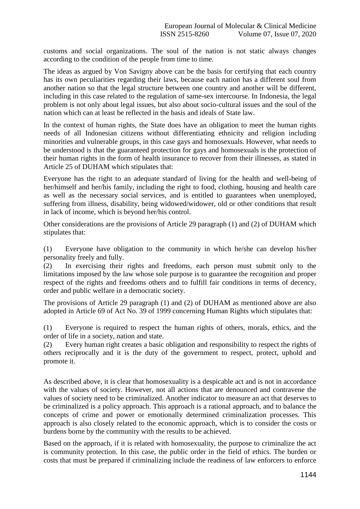customs and social organizations. The soul of the nation is not static always changes according to the condition of the people from time to time.

The ideas as argued by Von Savigny above can be the basis for certifying that each country has its own peculiarities regarding their laws, because each nation has a different soul from another nation so that the legal structure between one country and another will be different, including in this case related to the regulation of same-sex intercourse. In Indonesia, the legal problem is not only about legal issues, but also about socio-cultural issues and the soul of the nation which can at least be reflected in the basis and ideals of State law.

In the context of human rights, the State does have an obligation to meet the human rights needs of all Indonesian citizens without differentiating ethnicity and religion including minorities and vulnerable groups, in this case gays and homosexuals. However, what needs to be understood is that the guaranteed protection for gays and homosexuals is the protection of their human rights in the form of health insurance to recover from their illnesses, as stated in Article 25 of DUHAM which stipulates that:

Everyone has the right to an adequate standard of living for the health and well-being of her/himself and her/his family, including the right to food, clothing, housing and health care as well as the necessary social services, and is entitled to guarantees when unemployed, suffering from illness, disability, being widowed/widower, old or other conditions that result in lack of income, which is beyond her/his control.

Other considerations are the provisions of Article 29 paragraph (1) and (2) of DUHAM which stipulates that:

(1) Everyone have obligation to the community in which he/she can develop his/her personality freely and fully.

(2) In exercising their rights and freedoms, each person must submit only to the limitations imposed by the law whose sole purpose is to guarantee the recognition and proper respect of the rights and freedoms others and to fulfill fair conditions in terms of decency, order and public welfare in a democratic society.

The provisions of Article 29 paragraph (1) and (2) of DUHAM as mentioned above are also adopted in Article 69 of Act No. 39 of 1999 concerning Human Rights which stipulates that:

(1) Everyone is required to respect the human rights of others, morals, ethics, and the order of life in a society, nation and state.

(2) Every human right creates a basic obligation and responsibility to respect the rights of others reciprocally and it is the duty of the government to respect, protect, uphold and promote it.

As described above, it is clear that homosexuality is a despicable act and is not in accordance with the values of society. However, not all actions that are denounced and contravene the values of society need to be criminalized. Another indicator to measure an act that deserves to be criminalized is a policy approach. This approach is a rational approach, and to balance the concepts of crime and power or emotionally determined criminalization processes. This approach is also closely related to the economic approach, which is to consider the costs or burdens borne by the community with the results to be achieved.

Based on the approach, if it is related with homosexuality, the purpose to criminalize the act is community protection. In this case, the public order in the field of ethics. The burden or costs that must be prepared if criminalizing include the readiness of law enforcers to enforce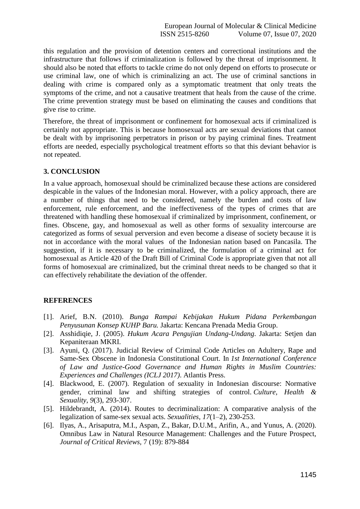this regulation and the provision of detention centers and correctional institutions and the infrastructure that follows if criminalization is followed by the threat of imprisonment. It should also be noted that efforts to tackle crime do not only depend on efforts to prosecute or use criminal law, one of which is criminalizing an act. The use of criminal sanctions in dealing with crime is compared only as a symptomatic treatment that only treats the symptoms of the crime, and not a causative treatment that heals from the cause of the crime. The crime prevention strategy must be based on eliminating the causes and conditions that give rise to crime.

Therefore, the threat of imprisonment or confinement for homosexual acts if criminalized is certainly not appropriate. This is because homosexual acts are sexual deviations that cannot be dealt with by imprisoning perpetrators in prison or by paying criminal fines. Treatment efforts are needed, especially psychological treatment efforts so that this deviant behavior is not repeated.

#### **3. CONCLUSION**

In a value approach, homosexual should be criminalized because these actions are considered despicable in the values of the Indonesian moral. However, with a policy approach, there are a number of things that need to be considered, namely the burden and costs of law enforcement, rule enforcement, and the ineffectiveness of the types of crimes that are threatened with handling these homosexual if criminalized by imprisonment, confinement, or fines. Obscene, gay, and homosexual as well as other forms of sexuality intercourse are categorized as forms of sexual perversion and even become a disease of society because it is not in accordance with the moral values of the Indonesian nation based on Pancasila. The suggestion, if it is necessary to be criminalized, the formulation of a criminal act for homosexual as Article 420 of the Draft Bill of Criminal Code is appropriate given that not all forms of homosexual are criminalized, but the criminal threat needs to be changed so that it can effectively rehabilitate the deviation of the offender.

## **REFERENCES**

- [1]. Arief, B.N. (2010). *Bunga Rampai Kebijakan Hukum Pidana Perkembangan Penyusunan Konsep KUHP Baru.* Jakarta: Kencana Prenada Media Group.
- [2]. Asshidiqie, J. (2005). *Hukum Acara Pengujian Undang-Undang*. Jakarta: Setjen dan Kepaniteraan MKRI.
- [3]. Ayuni, Q. (2017). Judicial Review of Criminal Code Articles on Adultery, Rape and Same-Sex Obscene in Indonesia Constitutional Court. In *1st International Conference of Law and Justice-Good Governance and Human Rights in Muslim Countries: Experiences and Challenges (ICLJ 2017)*. Atlantis Press.
- [4]. Blackwood, E. (2007). Regulation of sexuality in Indonesian discourse: Normative gender, criminal law and shifting strategies of control. *Culture, Health & Sexuality*, *9*(3), 293-307.
- [5]. Hildebrandt, A. (2014). Routes to decriminalization: A comparative analysis of the legalization of same-sex sexual acts. *Sexualities*, *17*(1–2), 230-253.
- [6]. Ilyas, A., Arisaputra, M.I., Aspan, Z., Bakar, D.U.M., Arifin, A., and Yunus, A. (2020). Omnibus Law in Natural Resource Management: Challenges and the Future Prospect, *Journal of Critical Reviews,* 7 (19): 879-884